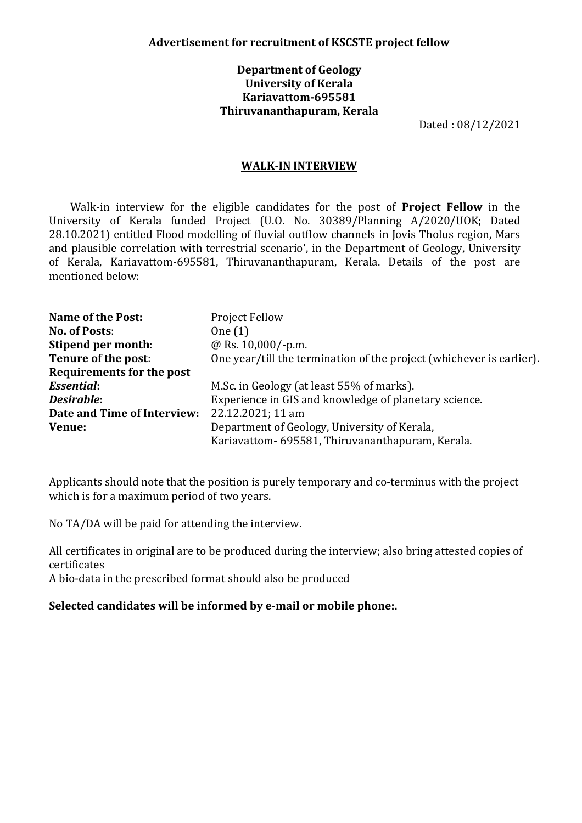## **Department of Geology University of Kerala Kariavattom-695581 Thiruvananthapuram, Kerala**

Dated : 08/12/2021

## **WALK-IN INTERVIEW**

Walk-in interview for the eligible candidates for the post of **Project Fellow** in the University of Kerala funded Project (U.O. No. 30389/Planning A/2020/UOK; Dated 28.10.2021) entitled Flood modelling of fluvial outflow channels in Jovis Tholus region, Mars and plausible correlation with terrestrial scenario', in the Department of Geology, University of Kerala, Kariavattom-695581, Thiruvananthapuram, Kerala. Details of the post are mentioned below:

| <b>Name of the Post:</b>         | <b>Project Fellow</b>                                                |  |  |
|----------------------------------|----------------------------------------------------------------------|--|--|
| <b>No. of Posts:</b>             | One $(1)$                                                            |  |  |
| Stipend per month:               | @ Rs. 10,000/-p.m.                                                   |  |  |
| Tenure of the post:              | One year/till the termination of the project (whichever is earlier). |  |  |
| <b>Requirements for the post</b> |                                                                      |  |  |
| <b>Essential:</b>                | M.Sc. in Geology (at least 55% of marks).                            |  |  |
| Desirable:                       | Experience in GIS and knowledge of planetary science.                |  |  |
| Date and Time of Interview:      | 22.12.2021; 11 am                                                    |  |  |
| Venue:                           | Department of Geology, University of Kerala,                         |  |  |
|                                  | Kariavattom- 695581, Thiruvananthapuram, Kerala.                     |  |  |

Applicants should note that the position is purely temporary and co-terminus with the project which is for a maximum period of two years.

No TA/DA will be paid for attending the interview.

All certificates in original are to be produced during the interview; also bring attested copies of certificates

A bio-data in the prescribed format should also be produced

## **Selected candidates will be informed by e-mail or mobile phone:.**